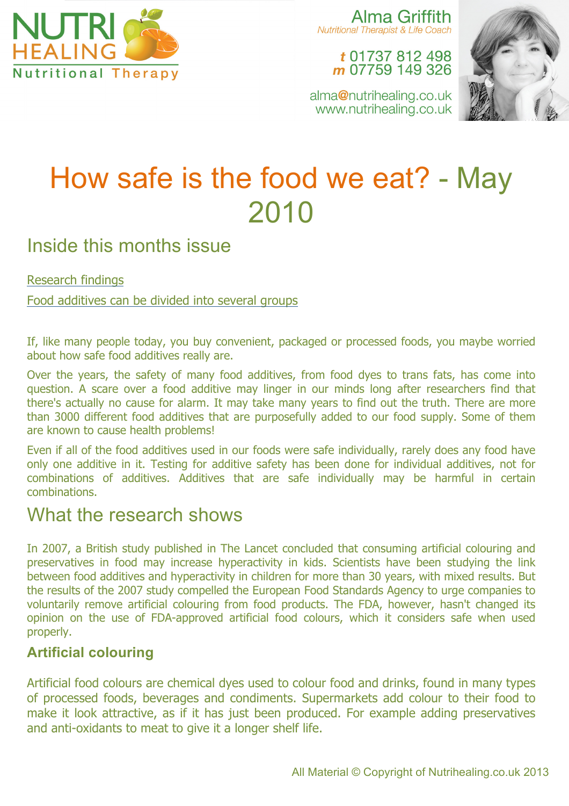

Alma Griffith **Nutritional Therapist & Life Coach** 

t 01737 812 498 m 07759 149 326



alma@nutrihealing.co.uk www.nutrihealing.co.uk

# How safe is the food we eat? - May 2010

# Inside this months issue

#### Research findings

Food additives can be divided into several groups

If, like many people today, you buy convenient, packaged or processed foods, you maybe worried about how safe food additives really are.

Over the years, the safety of many food additives, from food dyes to trans fats, has come into question. A scare over a food additive may linger in our minds long after researchers find that there's actually no cause for alarm. It may take many years to find out the truth. There are more than 3000 different food additives that are purposefully added to our food supply. Some of them are known to cause health problems!

Even if all of the food additives used in our foods were safe individually, rarely does any food have only one additive in it. Testing for additive safety has been done for individual additives, not for combinations of additives. Additives that are safe individually may be harmful in certain combinations.

## What the research shows

In 2007, a British study published in The Lancet concluded that consuming artificial colouring and preservatives in food may increase hyperactivity in kids. Scientists have been studying the link between food additives and hyperactivity in children for more than 30 years, with mixed results. But the results of the 2007 study compelled the European Food Standards Agency to urge companies to voluntarily remove artificial colouring from food products. The FDA, however, hasn't changed its opinion on the use of FDA-approved artificial food colours, which it considers safe when used properly.

## **Artificial colouring**

Artificial food colours are chemical dyes used to colour food and drinks, found in many types of processed foods, beverages and condiments. Supermarkets add colour to their food to make it look attractive, as if it has just been produced. For example adding preservatives and anti-oxidants to meat to give it a longer shelf life.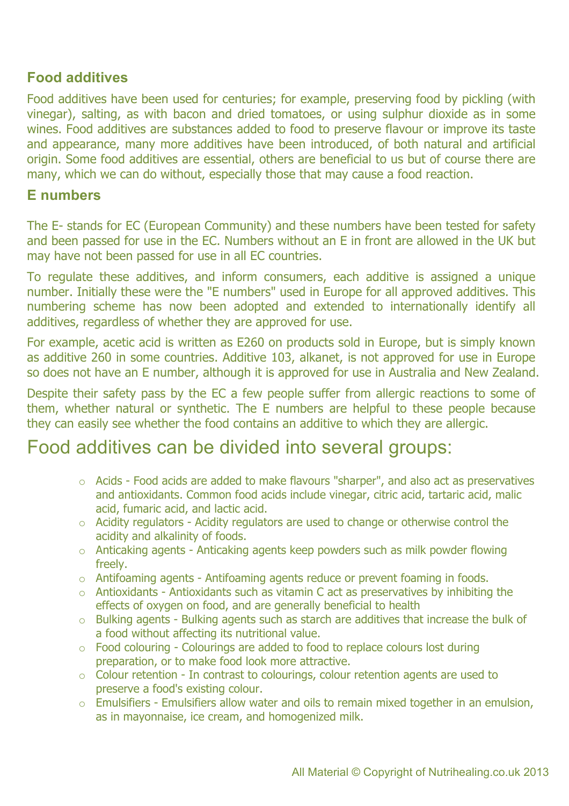## **Food additives**

Food additives have been used for centuries; for example, preserving food by pickling (with vinegar), salting, as with bacon and dried tomatoes, or using sulphur dioxide as in some wines. Food additives are substances added to food to preserve flavour or improve its taste and appearance, many more additives have been introduced, of both natural and artificial origin. Some food additives are essential, others are beneficial to us but of course there are many, which we can do without, especially those that may cause a food reaction.

#### **E numbers**

The E- stands for EC (European Community) and these numbers have been tested for safety and been passed for use in the EC. Numbers without an E in front are allowed in the UK but may have not been passed for use in all EC countries.

To regulate these additives, and inform consumers, each additive is assigned a unique number. Initially these were the "E numbers" used in Europe for all approved additives. This numbering scheme has now been adopted and extended to internationally identify all additives, regardless of whether they are approved for use.

For example, acetic acid is written as E260 on products sold in Europe, but is simply known as additive 260 in some countries. Additive 103, alkanet, is not approved for use in Europe so does not have an E number, although it is approved for use in Australia and New Zealand.

Despite their safety pass by the EC a few people suffer from allergic reactions to some of them, whether natural or synthetic. The E numbers are helpful to these people because they can easily see whether the food contains an additive to which they are allergic.

# Food additives can be divided into several groups:

- o Acids Food acids are added to make flavours "sharper", and also act as preservatives and antioxidants. Common food acids include vinegar, citric acid, tartaric acid, malic acid, fumaric acid, and lactic acid.
- o Acidity regulators Acidity regulators are used to change or otherwise control the acidity and alkalinity of foods.
- o Anticaking agents Anticaking agents keep powders such as milk powder flowing freely.
- o Antifoaming agents Antifoaming agents reduce or prevent foaming in foods.
- o Antioxidants Antioxidants such as vitamin C act as preservatives by inhibiting the effects of oxygen on food, and are generally beneficial to health
- o Bulking agents Bulking agents such as starch are additives that increase the bulk of a food without affecting its nutritional value.
- o Food colouring Colourings are added to food to replace colours lost during preparation, or to make food look more attractive.
- o Colour retention In contrast to colourings, colour retention agents are used to preserve a food's existing colour.
- o Emulsifiers Emulsifiers allow water and oils to remain mixed together in an emulsion, as in mayonnaise, ice cream, and homogenized milk.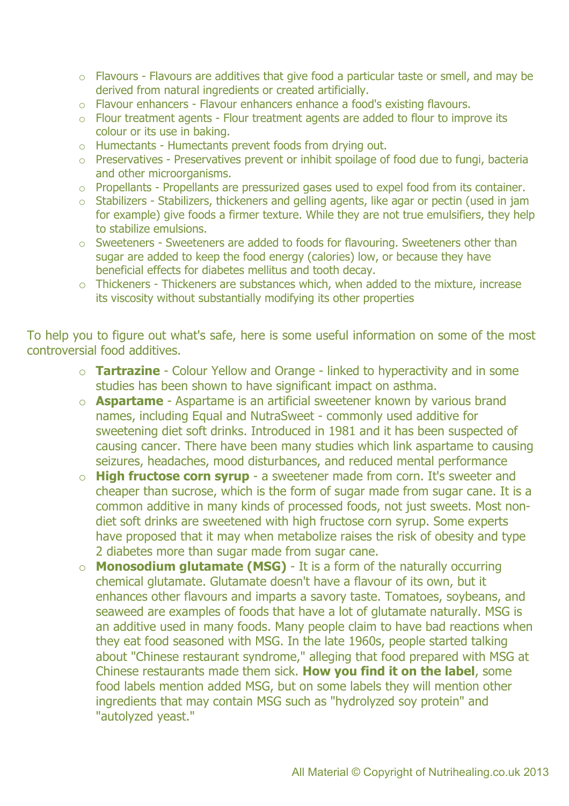- o Flavours Flavours are additives that give food a particular taste or smell, and may be derived from natural ingredients or created artificially.
- o Flavour enhancers Flavour enhancers enhance a food's existing flavours.
- o Flour treatment agents Flour treatment agents are added to flour to improve its colour or its use in baking.
- o Humectants Humectants prevent foods from drying out.
- o Preservatives Preservatives prevent or inhibit spoilage of food due to fungi, bacteria and other microorganisms.
- o Propellants Propellants are pressurized gases used to expel food from its container.
- o Stabilizers Stabilizers, thickeners and gelling agents, like agar or pectin (used in jam for example) give foods a firmer texture. While they are not true emulsifiers, they help to stabilize emulsions.
- o Sweeteners Sweeteners are added to foods for flavouring. Sweeteners other than sugar are added to keep the food energy (calories) low, or because they have beneficial effects for diabetes mellitus and tooth decay.
- o Thickeners Thickeners are substances which, when added to the mixture, increase its viscosity without substantially modifying its other properties

To help you to figure out what's safe, here is some useful information on some of the most controversial food additives.

- o **Tartrazine** Colour Yellow and Orange linked to hyperactivity and in some studies has been shown to have significant impact on asthma.
- o **Aspartame** Aspartame is an artificial sweetener known by various brand names, including Equal and NutraSweet - commonly used additive for sweetening diet soft drinks. Introduced in 1981 and it has been suspected of causing cancer. There have been many studies which link aspartame to causing seizures, headaches, mood disturbances, and reduced mental performance
- o **High fructose corn syrup** a sweetener made from corn. It's sweeter and cheaper than sucrose, which is the form of sugar made from sugar cane. It is a common additive in many kinds of processed foods, not just sweets. Most nondiet soft drinks are sweetened with high fructose corn syrup. Some experts have proposed that it may when metabolize raises the risk of obesity and type 2 diabetes more than sugar made from sugar cane.
- o **Monosodium glutamate (MSG)** It is a form of the naturally occurring chemical glutamate. Glutamate doesn't have a flavour of its own, but it enhances other flavours and imparts a savory taste. Tomatoes, soybeans, and seaweed are examples of foods that have a lot of glutamate naturally. MSG is an additive used in many foods. Many people claim to have bad reactions when they eat food seasoned with MSG. In the late 1960s, people started talking about "Chinese restaurant syndrome," alleging that food prepared with MSG at Chinese restaurants made them sick. **How you find it on the label**, some food labels mention added MSG, but on some labels they will mention other ingredients that may contain MSG such as "hydrolyzed soy protein" and "autolyzed yeast."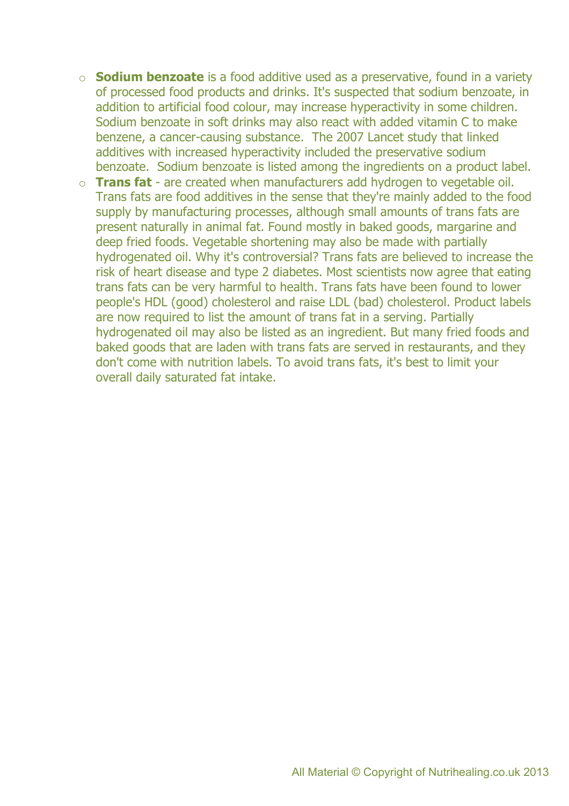- o **Sodium benzoate** is a food additive used as a preservative, found in a variety of processed food products and drinks. It's suspected that sodium benzoate, in addition to artificial food colour, may increase hyperactivity in some children. Sodium benzoate in soft drinks may also react with added vitamin C to make benzene, a cancer-causing substance. The 2007 Lancet study that linked additives with increased hyperactivity included the preservative sodium benzoate. Sodium benzoate is listed among the ingredients on a product label.
- o **Trans fat** are created when manufacturers add hydrogen to vegetable oil. Trans fats are food additives in the sense that they're mainly added to the food supply by manufacturing processes, although small amounts of trans fats are present naturally in animal fat. Found mostly in baked goods, margarine and deep fried foods. Vegetable shortening may also be made with partially hydrogenated oil. Why it's controversial? Trans fats are believed to increase the risk of heart disease and type 2 diabetes. Most scientists now agree that eating trans fats can be very harmful to health. Trans fats have been found to lower people's HDL (good) cholesterol and raise LDL (bad) cholesterol. Product labels are now required to list the amount of trans fat in a serving. Partially hydrogenated oil may also be listed as an ingredient. But many fried foods and baked goods that are laden with trans fats are served in restaurants, and they don't come with nutrition labels. To avoid trans fats, it's best to limit your overall daily saturated fat intake.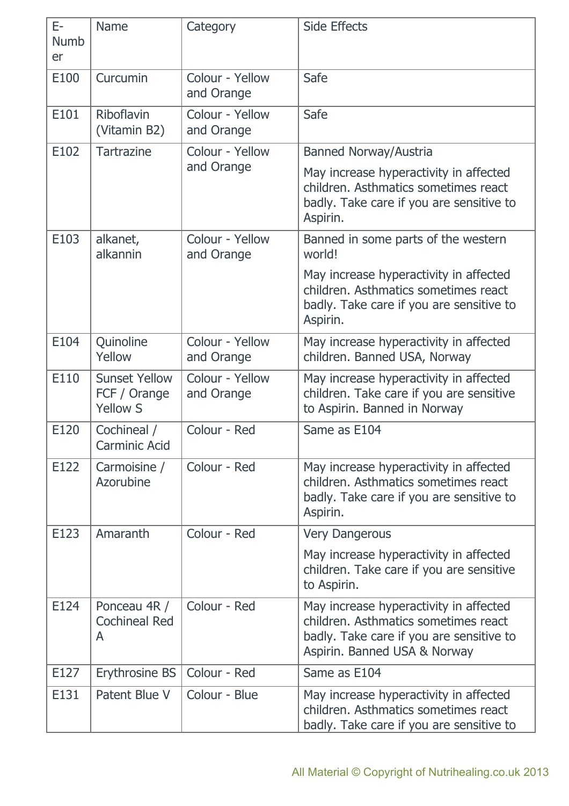| E-<br><b>Numb</b><br>er | Name                                                    | Category                      | <b>Side Effects</b>                                                                                                                                        |
|-------------------------|---------------------------------------------------------|-------------------------------|------------------------------------------------------------------------------------------------------------------------------------------------------------|
| E100                    | Curcumin                                                | Colour - Yellow<br>and Orange | Safe                                                                                                                                                       |
| E101                    | Riboflavin<br>(Vitamin B2)                              | Colour - Yellow<br>and Orange | Safe                                                                                                                                                       |
| E102                    | <b>Tartrazine</b>                                       | Colour - Yellow               | <b>Banned Norway/Austria</b>                                                                                                                               |
|                         |                                                         | and Orange                    | May increase hyperactivity in affected<br>children. Asthmatics sometimes react<br>badly. Take care if you are sensitive to<br>Aspirin.                     |
| E103                    | alkanet,<br>alkannin                                    | Colour - Yellow<br>and Orange | Banned in some parts of the western<br>world!                                                                                                              |
|                         |                                                         |                               | May increase hyperactivity in affected<br>children. Asthmatics sometimes react<br>badly. Take care if you are sensitive to<br>Aspirin.                     |
| E104                    | Quinoline<br>Yellow                                     | Colour - Yellow<br>and Orange | May increase hyperactivity in affected<br>children. Banned USA, Norway                                                                                     |
| E110                    | <b>Sunset Yellow</b><br>FCF / Orange<br><b>Yellow S</b> | Colour - Yellow<br>and Orange | May increase hyperactivity in affected<br>children. Take care if you are sensitive<br>to Aspirin. Banned in Norway                                         |
| E120                    | Cochineal /<br><b>Carminic Acid</b>                     | Colour - Red                  | Same as E104                                                                                                                                               |
| E122                    | Carmoisine /<br>Azorubine                               | Colour - Red                  | May increase hyperactivity in affected<br>children. Asthmatics sometimes react<br>badly. Take care if you are sensitive to<br>Aspirin.                     |
| E123                    | Amaranth                                                | Colour - Red                  | <b>Very Dangerous</b>                                                                                                                                      |
|                         |                                                         |                               | May increase hyperactivity in affected<br>children. Take care if you are sensitive<br>to Aspirin.                                                          |
| E124                    | Ponceau 4R /<br><b>Cochineal Red</b><br>A               | Colour - Red                  | May increase hyperactivity in affected<br>children. Asthmatics sometimes react<br>badly. Take care if you are sensitive to<br>Aspirin. Banned USA & Norway |
| E127                    | Erythrosine BS                                          | Colour - Red                  | Same as E104                                                                                                                                               |
| E131                    | Patent Blue V                                           | Colour - Blue                 | May increase hyperactivity in affected<br>children. Asthmatics sometimes react<br>badly. Take care if you are sensitive to                                 |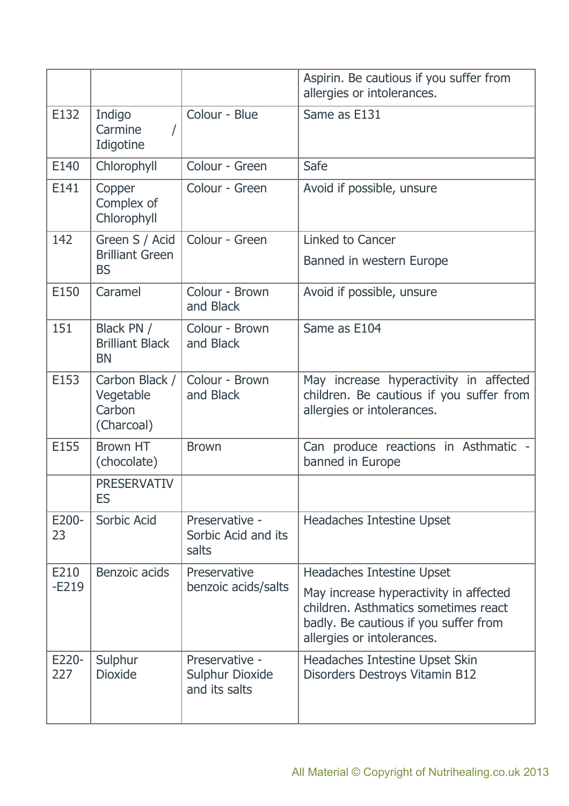|              |                                                     |                                                           | Aspirin. Be cautious if you suffer from<br>allergies or intolerances.                                                                                 |
|--------------|-----------------------------------------------------|-----------------------------------------------------------|-------------------------------------------------------------------------------------------------------------------------------------------------------|
| E132         | Indigo<br>Carmine<br>Idigotine                      | Colour - Blue                                             | Same as E131                                                                                                                                          |
| E140         | Chlorophyll                                         | Colour - Green                                            | Safe                                                                                                                                                  |
| E141         | Copper<br>Complex of<br>Chlorophyll                 | Colour - Green                                            | Avoid if possible, unsure                                                                                                                             |
| 142          | Green S / Acid                                      | Colour - Green                                            | Linked to Cancer                                                                                                                                      |
|              | <b>Brilliant Green</b><br><b>BS</b>                 |                                                           | Banned in western Europe                                                                                                                              |
| E150         | Caramel                                             | Colour - Brown<br>and Black                               | Avoid if possible, unsure                                                                                                                             |
| 151          | Black PN /<br><b>Brilliant Black</b><br><b>BN</b>   | Colour - Brown<br>and Black                               | Same as E104                                                                                                                                          |
| E153         | Carbon Black /<br>Vegetable<br>Carbon<br>(Charcoal) | Colour - Brown<br>and Black                               | May increase hyperactivity in affected<br>children. Be cautious if you suffer from<br>allergies or intolerances.                                      |
| E155         | <b>Brown HT</b><br>(chocolate)                      | <b>Brown</b>                                              | Can produce reactions in Asthmatic -<br>banned in Europe                                                                                              |
|              | <b>PRESERVATIV</b><br>ES                            |                                                           |                                                                                                                                                       |
| E200-<br>23  | Sorbic Acid                                         | Preservative -<br>Sorbic Acid and its<br>salts            | Headaches Intestine Upset                                                                                                                             |
| E210         | Benzoic acids                                       | Preservative                                              | Headaches Intestine Upset                                                                                                                             |
| $-E219$      |                                                     | benzoic acids/salts                                       | May increase hyperactivity in affected<br>children. Asthmatics sometimes react<br>badly. Be cautious if you suffer from<br>allergies or intolerances. |
| E220-<br>227 | Sulphur<br><b>Dioxide</b>                           | Preservative -<br><b>Sulphur Dioxide</b><br>and its salts | Headaches Intestine Upset Skin<br>Disorders Destroys Vitamin B12                                                                                      |